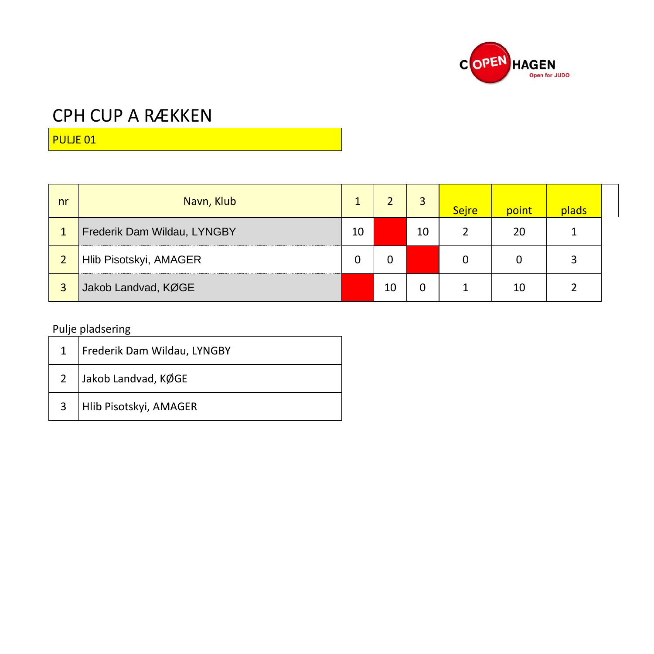

PULJE 01

| nr | Navn, Klub                  |    |    |    | <b>Sejre</b> | point | plads |  |
|----|-----------------------------|----|----|----|--------------|-------|-------|--|
| 1  | Frederik Dam Wildau, LYNGBY | 10 |    | 10 |              | 20    |       |  |
|    | Hlib Pisotskyi, AMAGER      | 0  |    |    |              | 0     |       |  |
| 3  | Jakob Landvad, KØGE         |    | 10 |    |              | 10    |       |  |

|                | Frederik Dam Wildau, LYNGBY |
|----------------|-----------------------------|
| $\overline{2}$ | Jakob Landvad, KØGE         |
| $\overline{3}$ | Hlib Pisotskyi, AMAGER      |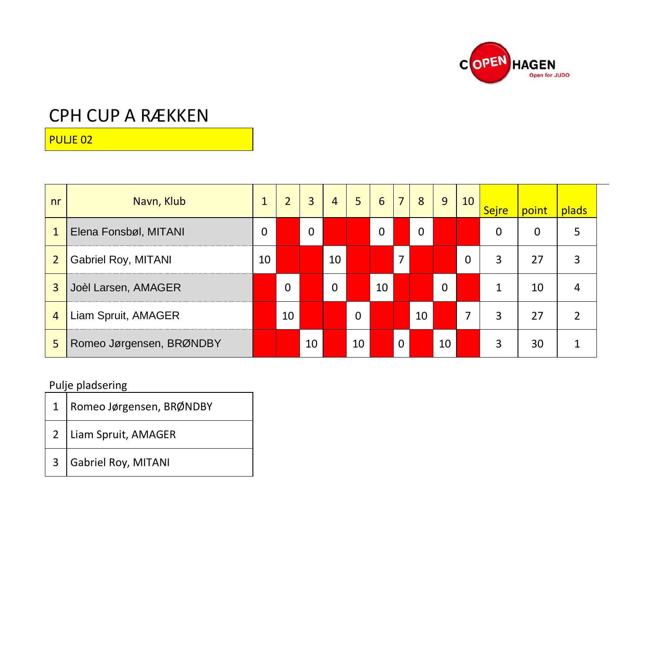

PULJE 02

| nr             | Navn, Klub               | 1  | $\overline{2}$ | 3  | $\overline{4}$ | 5  | $6\phantom{1}6$ | $\overline{7}$ | 8  | 9        | 10 | <b>Sejre</b> | point | plads          |
|----------------|--------------------------|----|----------------|----|----------------|----|-----------------|----------------|----|----------|----|--------------|-------|----------------|
| $\mathbf{1}$   | Elena Fonsbøl, MITANI    | 0  |                | 0  |                |    | 0               |                | 0  |          |    | 0            | 0     | 5              |
| $\overline{2}$ | Gabriel Roy, MITANI      | 10 |                |    | 10             |    |                 | $\overline{7}$ |    |          | 0  | 3            | 27    | 3              |
| 3              | Joèl Larsen, AMAGER      |    | 0              |    | 0              |    | 10              |                |    | $\Omega$ |    |              | 10    | 4              |
| $\overline{4}$ | Liam Spruit, AMAGER      |    | 10             |    |                | 0  |                 |                | 10 |          | 7  | 3            | 27    | $\overline{2}$ |
| 5              | Romeo Jørgensen, BRØNDBY |    |                | 10 |                | 10 |                 | $\mathbf{0}$   |    | 10       |    | 3            | 30    |                |

| 1   Romeo Jørgensen, BRØNDBY |
|------------------------------|
| 2 Liam Spruit, AMAGER        |
| 3 Gabriel Roy, MITANI        |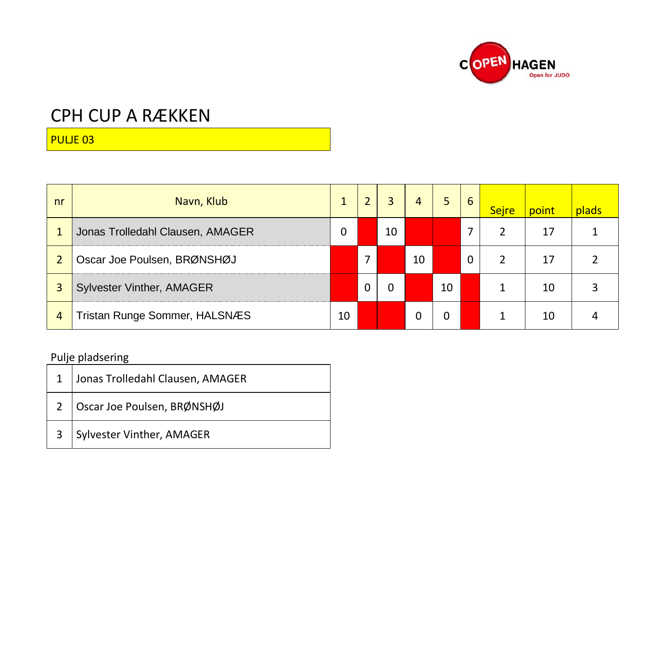

PULJE 03

| nr | Navn, Klub                       |    |   | 3. | 4  | 5. | 6 | <b>Sejre</b> | point | plads |
|----|----------------------------------|----|---|----|----|----|---|--------------|-------|-------|
|    | Jonas Trolledahl Clausen, AMAGER | 0  |   | 10 |    |    |   |              | 17    |       |
|    | Oscar Joe Poulsen, BRØNSHØJ      |    | 7 |    | 10 |    | 0 |              | 17    |       |
|    | <b>Sylvester Vinther, AMAGER</b> |    | 0 | 0  |    | 10 |   |              | 10    |       |
| 4  | Tristan Runge Sommer, HALSNÆS    | 10 |   |    | 0  | 0  |   |              | 10    |       |

|   | Jonas Trolledahl Clausen, AMAGER |
|---|----------------------------------|
|   | 2   Oscar Joe Poulsen, BRØNSHØJ  |
| 3 | Sylvester Vinther, AMAGER        |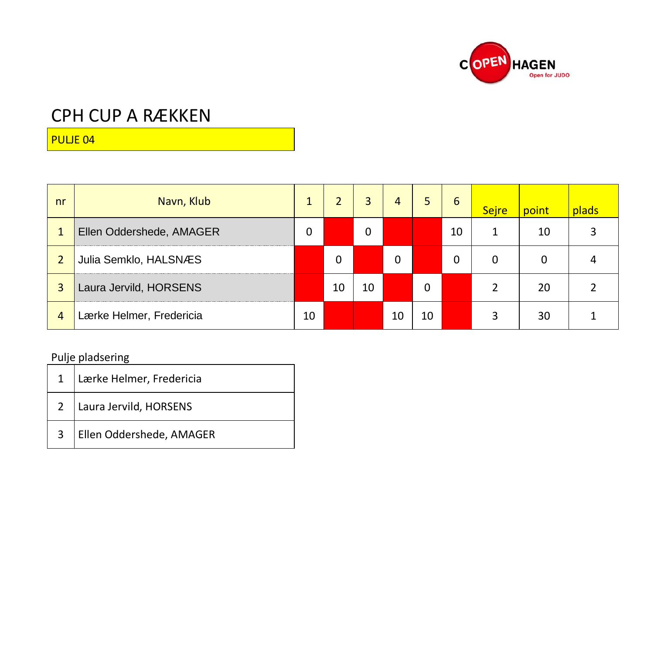

PULJE 04

| nr             | Navn, Klub               | 1  |    | 3  | 4  | 5  | 6  | <b>Sejre</b> | point | plads |
|----------------|--------------------------|----|----|----|----|----|----|--------------|-------|-------|
|                | Ellen Oddershede, AMAGER | 0  |    | 0  |    |    | 10 |              | 10    |       |
|                | Julia Semklo, HALSNÆS    |    | 0  |    | 0  |    | 0  | 0            | 0     |       |
| 3              | Laura Jervild, HORSENS   |    | 10 | 10 |    | 0  |    |              | 20    |       |
| $\overline{4}$ | Lærke Helmer, Fredericia | 10 |    |    | 10 | 10 |    | 3            | 30    |       |

|                | 1 Lærke Helmer, Fredericia |
|----------------|----------------------------|
|                | 2   Laura Jervild, HORSENS |
| 3 <sup>7</sup> | Ellen Oddershede, AMAGER   |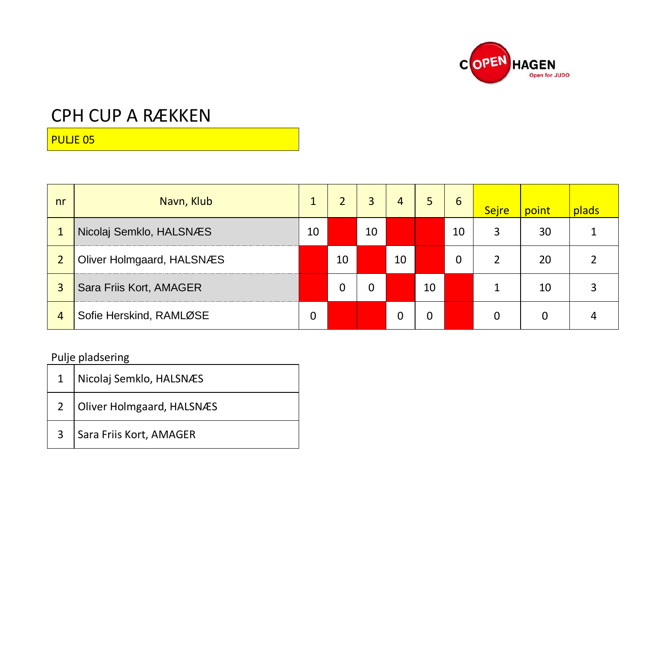

PULJE 05

| nr             | Navn, Klub                |    | $\overline{2}$ | 3  | 4  | 5. | 6  | <b>Sejre</b> | point | plads |
|----------------|---------------------------|----|----------------|----|----|----|----|--------------|-------|-------|
|                | Nicolaj Semklo, HALSNÆS   | 10 |                | 10 |    |    | 10 | 3            | 30    |       |
| $\overline{2}$ | Oliver Holmgaard, HALSNÆS |    | 10             |    | 10 |    | 0  |              | 20    |       |
| 3              | Sara Friis Kort, AMAGER   |    | 0              | 0  |    | 10 |    |              | 10    |       |
| 4              | Sofie Herskind, RAMLØSE   | 0  |                |    | 0  | 0  |    | 0            | 0     |       |

|                | Nicolaj Semklo, HALSNÆS   |
|----------------|---------------------------|
| $2^{\circ}$    | Oliver Holmgaard, HALSNÆS |
| 3 <sup>7</sup> | Sara Friis Kort, AMAGER   |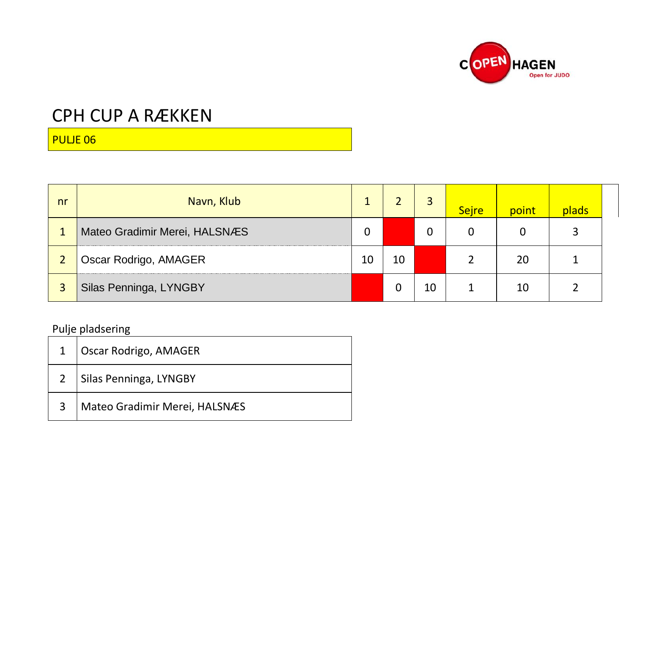

PULJE 06

| nr | Navn, Klub                    |    |    | 3  | <b>Sejre</b> | point | plads |  |
|----|-------------------------------|----|----|----|--------------|-------|-------|--|
|    | Mateo Gradimir Merei, HALSNÆS | 0  |    | 0  | 0            | 0     | 3     |  |
|    | Oscar Rodrigo, AMAGER         | 10 | 10 |    |              | 20    |       |  |
| 3  | Silas Penninga, LYNGBY        |    | 0  | 10 |              | 10    |       |  |

| Oscar Rodrigo, AMAGER         |
|-------------------------------|
| 2 Silas Penninga, LYNGBY      |
| Mateo Gradimir Merei, HALSNÆS |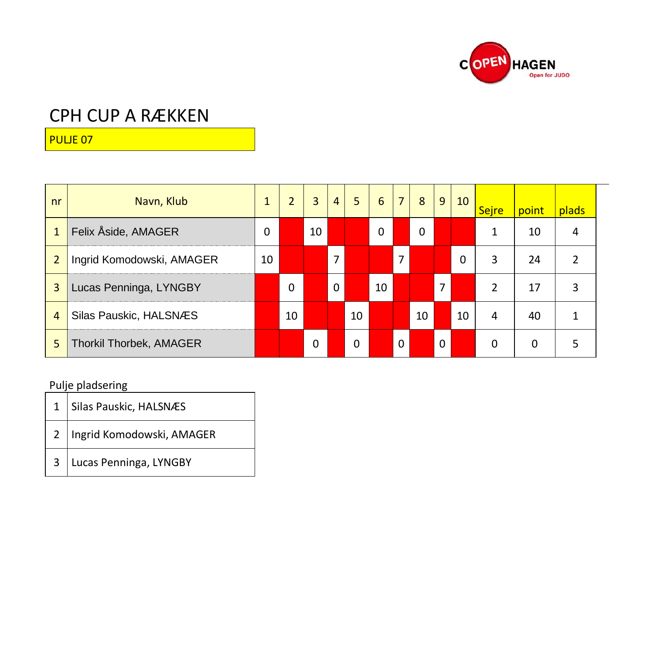

PULJE 07

| nr             | Navn, Klub                     | 1  | $\overline{2}$ | 3  | $\overline{4}$ | 5  | 6  |          | 8  | 9        | 10 | <b>Sejre</b> | point | plads |
|----------------|--------------------------------|----|----------------|----|----------------|----|----|----------|----|----------|----|--------------|-------|-------|
| $\mathbf{1}$   | Felix Åside, AMAGER            | 0  |                | 10 |                |    | 0  |          | 0  |          |    |              | 10    | 4     |
| 2              | Ingrid Komodowski, AMAGER      | 10 |                |    | 7              |    |    | 7        |    |          | 0  | 3            | 24    | 2     |
| 3              | Lucas Penninga, LYNGBY         |    | 0              |    | 0              |    | 10 |          |    | 7        |    | 2            | 17    | 3     |
| $\overline{4}$ | Silas Pauskic, HALSNÆS         |    | 10             |    |                | 10 |    |          | 10 |          | 10 | 4            | 40    |       |
| 5              | <b>Thorkil Thorbek, AMAGER</b> |    |                | 0  |                | 0  |    | $\Omega$ |    | $\Omega$ |    | 0            | 0     | 5     |

| 1 Silas Pauskic, HALSNÆS      |
|-------------------------------|
| 2   Ingrid Komodowski, AMAGER |
| 3 Lucas Penninga, LYNGBY      |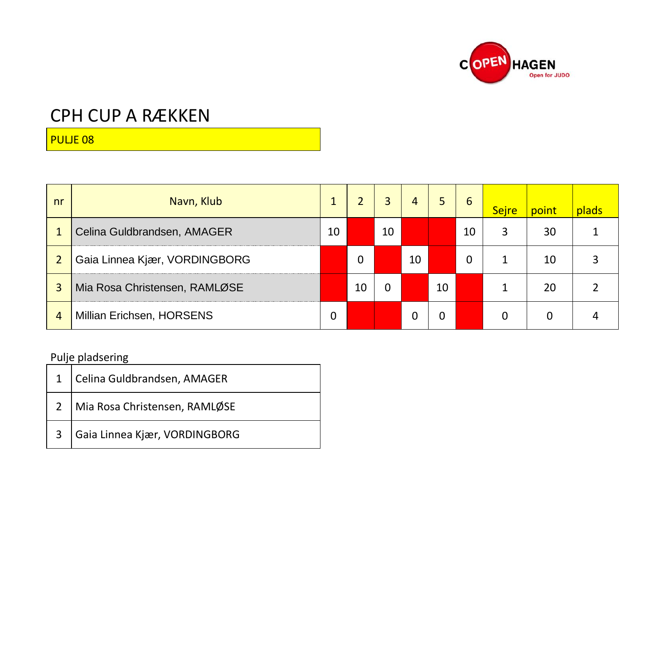

PULJE 08

| nr | Navn, Klub                    |    |    | 3  | 4  | 5  | 6  | <b>Sejre</b> | point | plads |
|----|-------------------------------|----|----|----|----|----|----|--------------|-------|-------|
|    | Celina Guldbrandsen, AMAGER   | 10 |    | 10 |    |    | 10 | 3            | 30    |       |
|    | Gaia Linnea Kjær, VORDINGBORG |    | 0  |    | 10 |    | 0  |              | 10    |       |
| 3  | Mia Rosa Christensen, RAMLØSE |    | 10 | 0  |    | 10 |    |              | 20    |       |
| 4  | Millian Erichsen, HORSENS     | 0  |    |    | Ω  | 0  |    | $\Omega$     | 0     |       |

| 1 Celina Guldbrandsen, AMAGER     |
|-----------------------------------|
| 2   Mia Rosa Christensen, RAMLØSE |
| 3 Gaia Linnea Kjær, VORDINGBORG   |